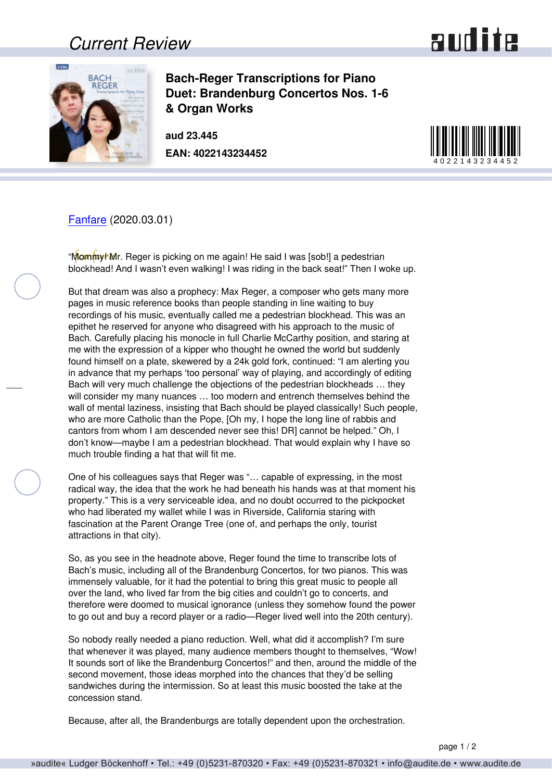## *Current Review*





**Bach-Reger Transcriptions for Piano Duet: Brandenburg Concertos Nos. 1-6 & Organ Works** 

**aud 23.445 EAN: 4022143234452**



[Fanfare](http://www.fanfaremag.com/) (2020.03.01)

"Mommy! Mr. Reger is picking on me again! He said I was [sob!] a pedestrian blockhead! And I wasn't even walking! I was riding in the back seat!" Then I woke up.

But that dream was also a prophecy: Max Reger, a composer who gets many more pages in music reference books than people standing in line waiting to buy recordings of his music, eventually called me a pedestrian blockhead. This was an epithet he reserved for anyone who disagreed with his approach to the music of Bach. Carefully placing his monocle in full Charlie McCarthy position, and staring at me with the expression of a kipper who thought he owned the world but suddenly found himself on a plate, skewered by a 24k gold fork, continued: "I am alerting you in advance that my perhaps 'too personal' way of playing, and accordingly of editing Bach will very much challenge the objections of the pedestrian blockheads … they will consider my many nuances … too modern and entrench themselves behind the wall of mental laziness, insisting that Bach should be played classically! Such people, who are more Catholic than the Pope, [Oh my, I hope the long line of rabbis and cantors from whom I am descended never see this! DR] cannot be helped." Oh, I don't know—maybe I am a pedestrian blockhead. That would explain why I have so much trouble finding a hat that will fit me.

One of his colleagues says that Reger was "… capable of expressing, in the most radical way, the idea that the work he had beneath his hands was at that moment his property." This is a very serviceable idea, and no doubt occurred to the pickpocket who had liberated my wallet while I was in Riverside, California staring with fascination at the Parent Orange Tree (one of, and perhaps the only, tourist attractions in that city).

So, as you see in the headnote above, Reger found the time to transcribe lots of Bach's music, including all of the Brandenburg Concertos, for two pianos. This was immensely valuable, for it had the potential to bring this great music to people all over the land, who lived far from the big cities and couldn't go to concerts, and therefore were doomed to musical ignorance (unless they somehow found the power to go out and buy a record player or a radio—Reger lived well into the 20th century).

So nobody really needed a piano reduction. Well, what did it accomplish? I'm sure that whenever it was played, many audience members thought to themselves, "Wow! It sounds sort of like the Brandenburg Concertos!" and then, around the middle of the second movement, those ideas morphed into the chances that they'd be selling sandwiches during the intermission. So at least this music boosted the take at the concession stand.

Because, after all, the Brandenburgs are totally dependent upon the orchestration.